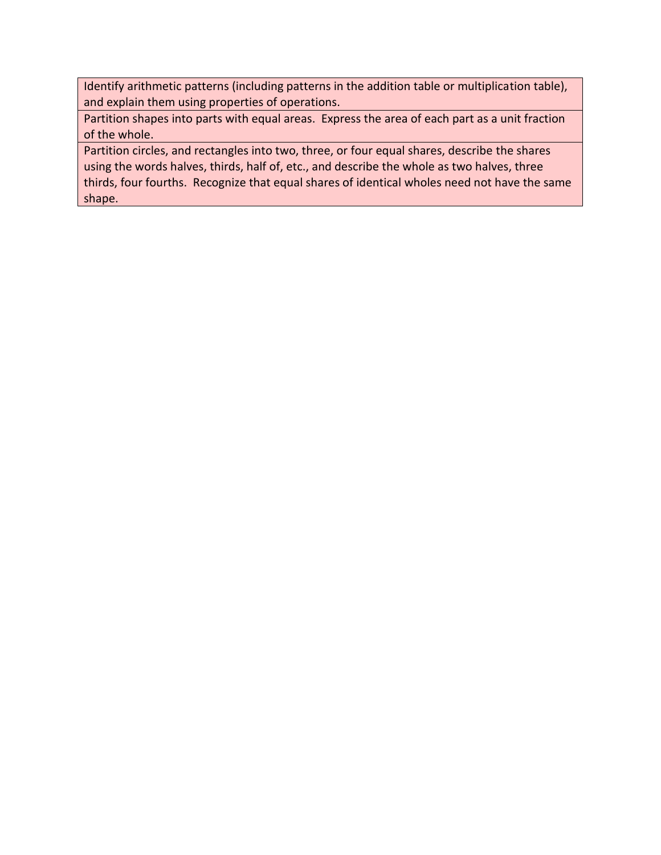Identify arithmetic patterns (including patterns in the addition table or multiplication table), and explain them using properties of operations.

Partition shapes into parts with equal areas. Express the area of each part as a unit fraction of the whole.

Partition circles, and rectangles into two, three, or four equal shares, describe the shares using the words halves, thirds, half of, etc., and describe the whole as two halves, three thirds, four fourths. Recognize that equal shares of identical wholes need not have the same shape.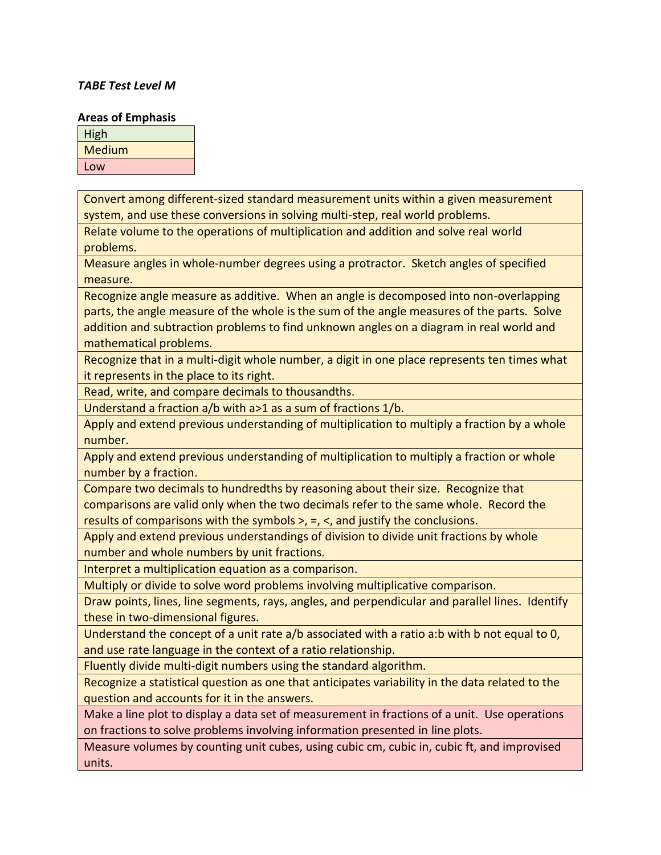## *TABE Test Level M*

#### **Areas of Emphasis**

| High   |  |
|--------|--|
| Medium |  |
| Low    |  |

Convert among different-sized standard measurement units within a given measurement system, and use these conversions in solving multi-step, real world problems.

Relate volume to the operations of multiplication and addition and solve real world problems.

Measure angles in whole-number degrees using a protractor. Sketch angles of specified measure.

Recognize angle measure as additive. When an angle is decomposed into non-overlapping parts, the angle measure of the whole is the sum of the angle measures of the parts. Solve addition and subtraction problems to find unknown angles on a diagram in real world and mathematical problems.

Recognize that in a multi-digit whole number, a digit in one place represents ten times what it represents in the place to its right.

Read, write, and compare decimals to thousandths.

Understand a fraction a/b with a>1 as a sum of fractions 1/b.

Apply and extend previous understanding of multiplication to multiply a fraction by a whole number.

Apply and extend previous understanding of multiplication to multiply a fraction or whole number by a fraction.

Compare two decimals to hundredths by reasoning about their size. Recognize that comparisons are valid only when the two decimals refer to the same whole. Record the results of comparisons with the symbols  $>$ ,  $=$ ,  $\lt$ , and justify the conclusions.

Apply and extend previous understandings of division to divide unit fractions by whole number and whole numbers by unit fractions.

Interpret a multiplication equation as a comparison.

Multiply or divide to solve word problems involving multiplicative comparison.

Draw points, lines, line segments, rays, angles, and perpendicular and parallel lines. Identify these in two-dimensional figures.

Understand the concept of a unit rate a/b associated with a ratio a:b with b not equal to 0, and use rate language in the context of a ratio relationship.

Fluently divide multi-digit numbers using the standard algorithm.

Recognize a statistical question as one that anticipates variability in the data related to the question and accounts for it in the answers.

Make a line plot to display a data set of measurement in fractions of a unit. Use operations on fractions to solve problems involving information presented in line plots.

Measure volumes by counting unit cubes, using cubic cm, cubic in, cubic ft, and improvised units.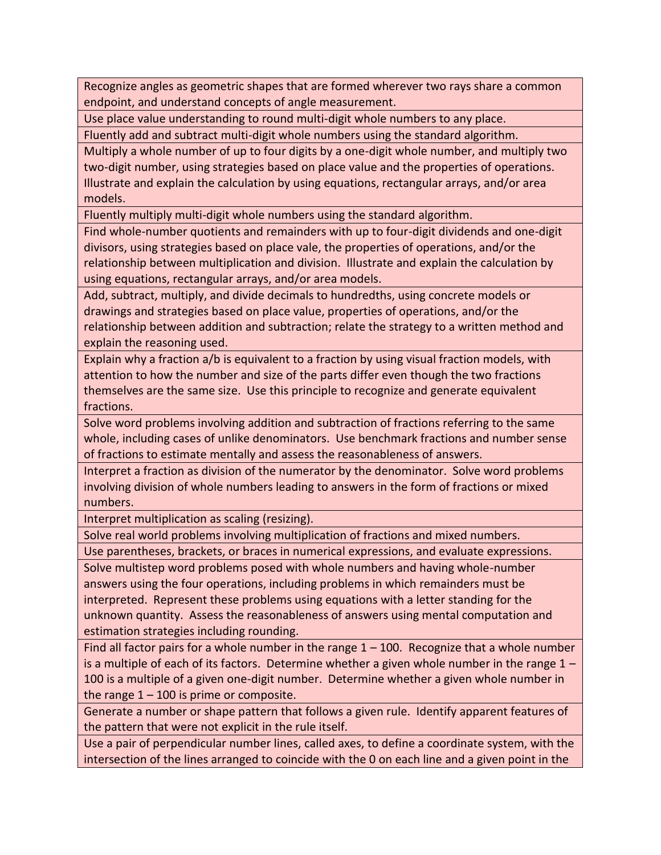Recognize angles as geometric shapes that are formed wherever two rays share a common endpoint, and understand concepts of angle measurement.

Use place value understanding to round multi-digit whole numbers to any place.

Fluently add and subtract multi-digit whole numbers using the standard algorithm.

Multiply a whole number of up to four digits by a one-digit whole number, and multiply two two-digit number, using strategies based on place value and the properties of operations. Illustrate and explain the calculation by using equations, rectangular arrays, and/or area models.

Fluently multiply multi-digit whole numbers using the standard algorithm.

Find whole-number quotients and remainders with up to four-digit dividends and one-digit divisors, using strategies based on place vale, the properties of operations, and/or the relationship between multiplication and division. Illustrate and explain the calculation by using equations, rectangular arrays, and/or area models.

Add, subtract, multiply, and divide decimals to hundredths, using concrete models or drawings and strategies based on place value, properties of operations, and/or the relationship between addition and subtraction; relate the strategy to a written method and explain the reasoning used.

Explain why a fraction a/b is equivalent to a fraction by using visual fraction models, with attention to how the number and size of the parts differ even though the two fractions themselves are the same size. Use this principle to recognize and generate equivalent fractions.

Solve word problems involving addition and subtraction of fractions referring to the same whole, including cases of unlike denominators. Use benchmark fractions and number sense of fractions to estimate mentally and assess the reasonableness of answers.

Interpret a fraction as division of the numerator by the denominator. Solve word problems involving division of whole numbers leading to answers in the form of fractions or mixed numbers.

Interpret multiplication as scaling (resizing).

Solve real world problems involving multiplication of fractions and mixed numbers.

Use parentheses, brackets, or braces in numerical expressions, and evaluate expressions.

Solve multistep word problems posed with whole numbers and having whole-number answers using the four operations, including problems in which remainders must be interpreted. Represent these problems using equations with a letter standing for the unknown quantity. Assess the reasonableness of answers using mental computation and estimation strategies including rounding.

Find all factor pairs for a whole number in the range  $1 - 100$ . Recognize that a whole number is a multiple of each of its factors. Determine whether a given whole number in the range  $1 -$ 100 is a multiple of a given one-digit number. Determine whether a given whole number in the range  $1 - 100$  is prime or composite.

Generate a number or shape pattern that follows a given rule. Identify apparent features of the pattern that were not explicit in the rule itself.

Use a pair of perpendicular number lines, called axes, to define a coordinate system, with the intersection of the lines arranged to coincide with the 0 on each line and a given point in the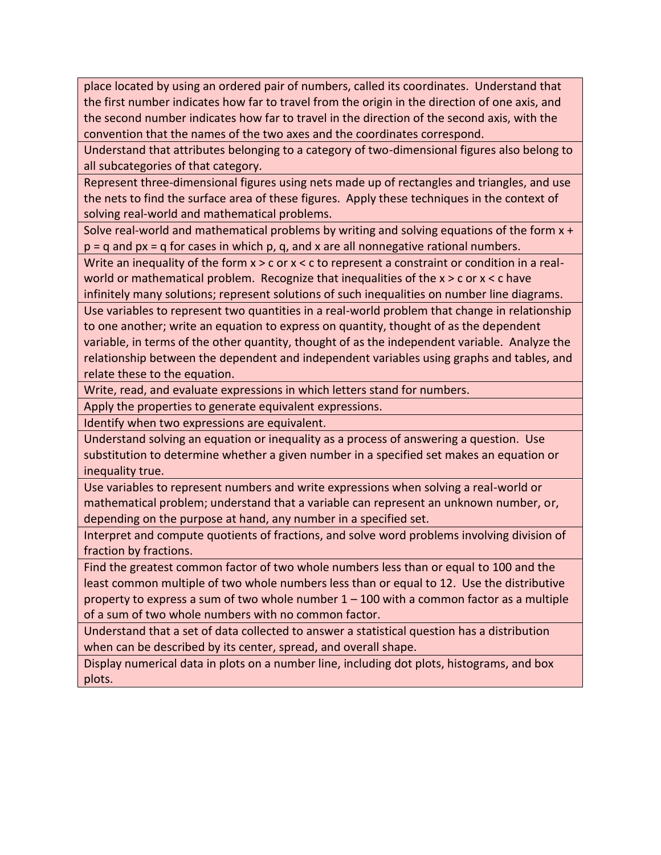place located by using an ordered pair of numbers, called its coordinates. Understand that the first number indicates how far to travel from the origin in the direction of one axis, and the second number indicates how far to travel in the direction of the second axis, with the convention that the names of the two axes and the coordinates correspond.

Understand that attributes belonging to a category of two-dimensional figures also belong to all subcategories of that category.

Represent three-dimensional figures using nets made up of rectangles and triangles, and use the nets to find the surface area of these figures. Apply these techniques in the context of solving real-world and mathematical problems.

Solve real-world and mathematical problems by writing and solving equations of the form x +  $p = q$  and  $px = q$  for cases in which p, q, and x are all nonnegative rational numbers.

Write an inequality of the form  $x > c$  or  $x < c$  to represent a constraint or condition in a realworld or mathematical problem. Recognize that inequalities of the  $x > c$  or  $x < c$  have

infinitely many solutions; represent solutions of such inequalities on number line diagrams. Use variables to represent two quantities in a real-world problem that change in relationship to one another; write an equation to express on quantity, thought of as the dependent variable, in terms of the other quantity, thought of as the independent variable. Analyze the relationship between the dependent and independent variables using graphs and tables, and relate these to the equation.

Write, read, and evaluate expressions in which letters stand for numbers.

Apply the properties to generate equivalent expressions.

Identify when two expressions are equivalent.

Understand solving an equation or inequality as a process of answering a question. Use substitution to determine whether a given number in a specified set makes an equation or inequality true.

Use variables to represent numbers and write expressions when solving a real-world or mathematical problem; understand that a variable can represent an unknown number, or, depending on the purpose at hand, any number in a specified set.

Interpret and compute quotients of fractions, and solve word problems involving division of fraction by fractions.

Find the greatest common factor of two whole numbers less than or equal to 100 and the least common multiple of two whole numbers less than or equal to 12. Use the distributive property to express a sum of two whole number  $1 - 100$  with a common factor as a multiple of a sum of two whole numbers with no common factor.

Understand that a set of data collected to answer a statistical question has a distribution when can be described by its center, spread, and overall shape.

Display numerical data in plots on a number line, including dot plots, histograms, and box plots.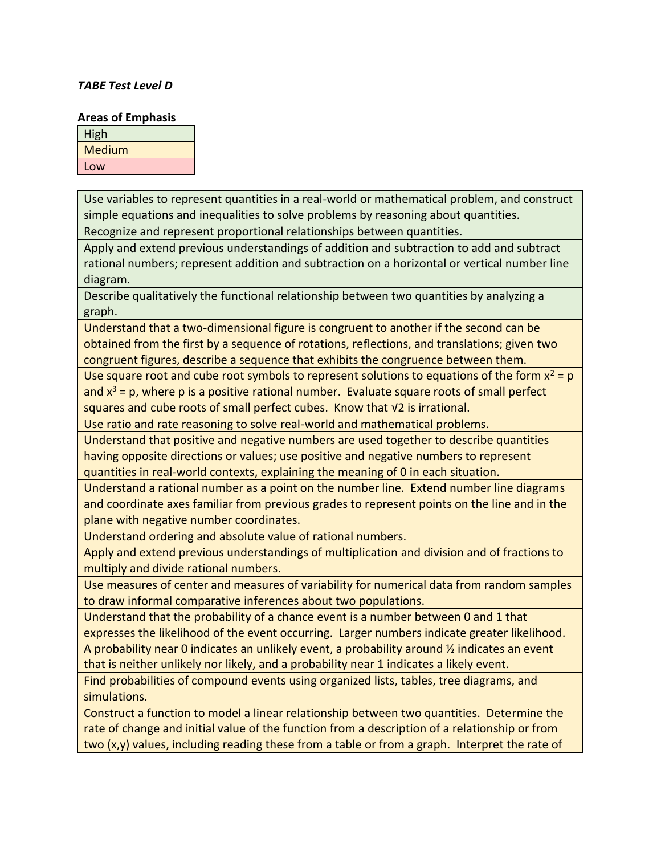## *TABE Test Level D*

#### **Areas of Emphasis**

| High   |  |
|--------|--|
| Medium |  |
| Low    |  |

Use variables to represent quantities in a real-world or mathematical problem, and construct simple equations and inequalities to solve problems by reasoning about quantities.

Recognize and represent proportional relationships between quantities.

Apply and extend previous understandings of addition and subtraction to add and subtract rational numbers; represent addition and subtraction on a horizontal or vertical number line diagram.

Describe qualitatively the functional relationship between two quantities by analyzing a graph.

Understand that a two-dimensional figure is congruent to another if the second can be obtained from the first by a sequence of rotations, reflections, and translations; given two congruent figures, describe a sequence that exhibits the congruence between them.

Use square root and cube root symbols to represent solutions to equations of the form  $x^2 = p$ and  $x^3$  = p, where p is a positive rational number. Evaluate square roots of small perfect squares and cube roots of small perfect cubes. Know that √2 is irrational.

Use ratio and rate reasoning to solve real-world and mathematical problems.

Understand that positive and negative numbers are used together to describe quantities having opposite directions or values; use positive and negative numbers to represent quantities in real-world contexts, explaining the meaning of 0 in each situation.

Understand a rational number as a point on the number line. Extend number line diagrams and coordinate axes familiar from previous grades to represent points on the line and in the plane with negative number coordinates.

Understand ordering and absolute value of rational numbers.

Apply and extend previous understandings of multiplication and division and of fractions to multiply and divide rational numbers.

Use measures of center and measures of variability for numerical data from random samples to draw informal comparative inferences about two populations.

Understand that the probability of a chance event is a number between 0 and 1 that expresses the likelihood of the event occurring. Larger numbers indicate greater likelihood. A probability near 0 indicates an unlikely event, a probability around 1/2 indicates an event that is neither unlikely nor likely, and a probability near 1 indicates a likely event.

Find probabilities of compound events using organized lists, tables, tree diagrams, and simulations.

Construct a function to model a linear relationship between two quantities. Determine the rate of change and initial value of the function from a description of a relationship or from two (x,y) values, including reading these from a table or from a graph. Interpret the rate of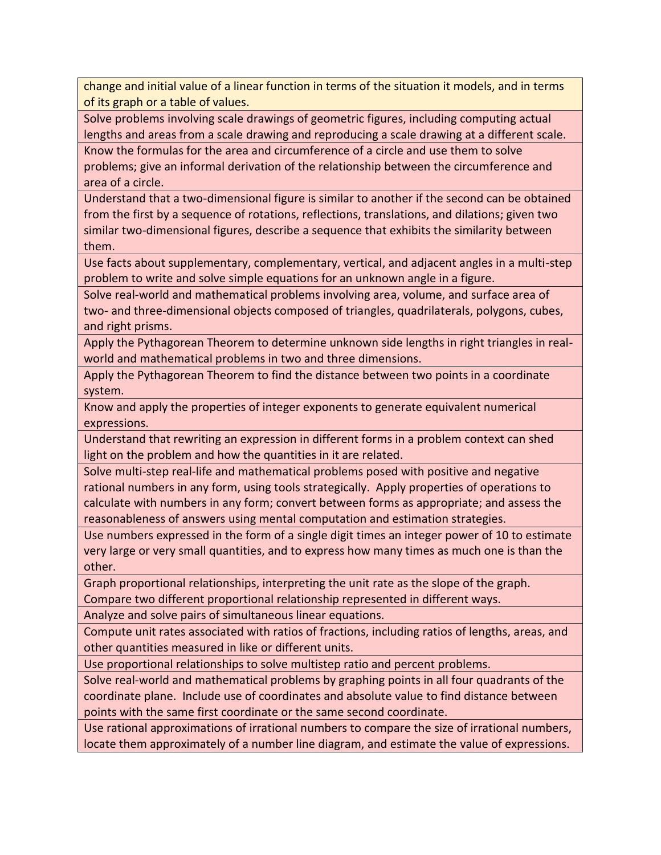change and initial value of a linear function in terms of the situation it models, and in terms of its graph or a table of values.

Solve problems involving scale drawings of geometric figures, including computing actual lengths and areas from a scale drawing and reproducing a scale drawing at a different scale.

Know the formulas for the area and circumference of a circle and use them to solve problems; give an informal derivation of the relationship between the circumference and area of a circle.

Understand that a two-dimensional figure is similar to another if the second can be obtained from the first by a sequence of rotations, reflections, translations, and dilations; given two similar two-dimensional figures, describe a sequence that exhibits the similarity between them.

Use facts about supplementary, complementary, vertical, and adjacent angles in a multi-step problem to write and solve simple equations for an unknown angle in a figure.

Solve real-world and mathematical problems involving area, volume, and surface area of two- and three-dimensional objects composed of triangles, quadrilaterals, polygons, cubes, and right prisms.

Apply the Pythagorean Theorem to determine unknown side lengths in right triangles in realworld and mathematical problems in two and three dimensions.

Apply the Pythagorean Theorem to find the distance between two points in a coordinate system.

Know and apply the properties of integer exponents to generate equivalent numerical expressions.

Understand that rewriting an expression in different forms in a problem context can shed light on the problem and how the quantities in it are related.

Solve multi-step real-life and mathematical problems posed with positive and negative rational numbers in any form, using tools strategically. Apply properties of operations to calculate with numbers in any form; convert between forms as appropriate; and assess the reasonableness of answers using mental computation and estimation strategies.

Use numbers expressed in the form of a single digit times an integer power of 10 to estimate very large or very small quantities, and to express how many times as much one is than the other.

Graph proportional relationships, interpreting the unit rate as the slope of the graph.

Compare two different proportional relationship represented in different ways.

Analyze and solve pairs of simultaneous linear equations.

Compute unit rates associated with ratios of fractions, including ratios of lengths, areas, and other quantities measured in like or different units.

Use proportional relationships to solve multistep ratio and percent problems.

Solve real-world and mathematical problems by graphing points in all four quadrants of the coordinate plane. Include use of coordinates and absolute value to find distance between points with the same first coordinate or the same second coordinate.

Use rational approximations of irrational numbers to compare the size of irrational numbers, locate them approximately of a number line diagram, and estimate the value of expressions.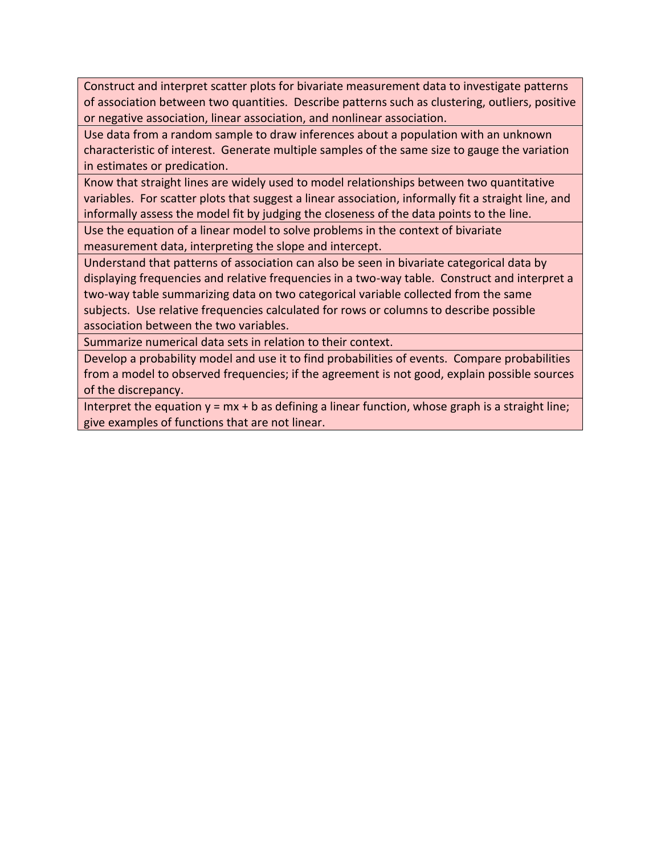Construct and interpret scatter plots for bivariate measurement data to investigate patterns of association between two quantities. Describe patterns such as clustering, outliers, positive or negative association, linear association, and nonlinear association.

Use data from a random sample to draw inferences about a population with an unknown characteristic of interest. Generate multiple samples of the same size to gauge the variation in estimates or predication.

Know that straight lines are widely used to model relationships between two quantitative variables. For scatter plots that suggest a linear association, informally fit a straight line, and informally assess the model fit by judging the closeness of the data points to the line.

Use the equation of a linear model to solve problems in the context of bivariate measurement data, interpreting the slope and intercept.

Understand that patterns of association can also be seen in bivariate categorical data by displaying frequencies and relative frequencies in a two-way table. Construct and interpret a two-way table summarizing data on two categorical variable collected from the same subjects. Use relative frequencies calculated for rows or columns to describe possible association between the two variables.

Summarize numerical data sets in relation to their context.

Develop a probability model and use it to find probabilities of events. Compare probabilities from a model to observed frequencies; if the agreement is not good, explain possible sources of the discrepancy.

Interpret the equation  $y = mx + b$  as defining a linear function, whose graph is a straight line; give examples of functions that are not linear.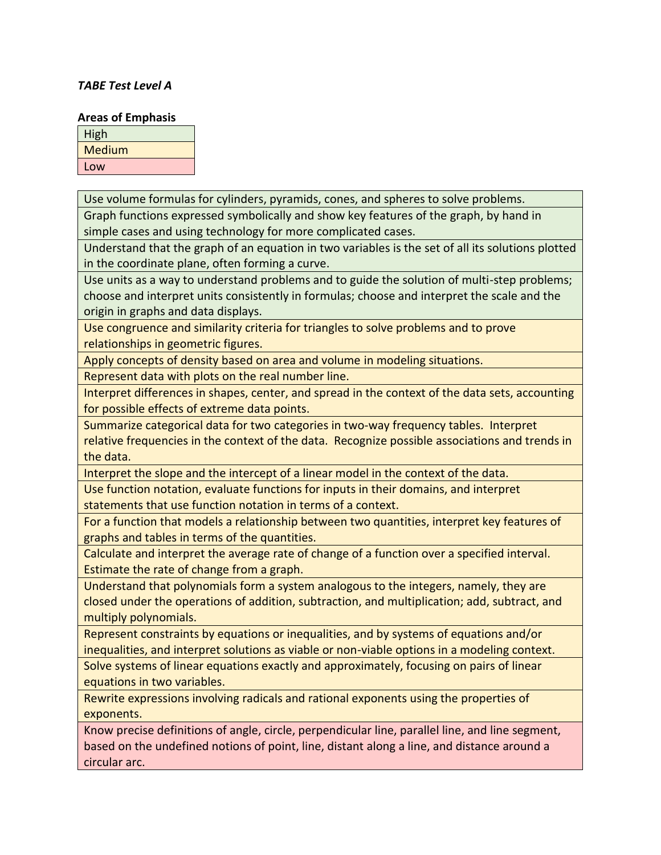# *TABE Test Level A*

#### **Areas of Emphasis**

| High   |  |
|--------|--|
| Medium |  |
| Low    |  |

Use volume formulas for cylinders, pyramids, cones, and spheres to solve problems.

Graph functions expressed symbolically and show key features of the graph, by hand in simple cases and using technology for more complicated cases.

Understand that the graph of an equation in two variables is the set of all its solutions plotted in the coordinate plane, often forming a curve.

Use units as a way to understand problems and to guide the solution of multi-step problems; choose and interpret units consistently in formulas; choose and interpret the scale and the origin in graphs and data displays.

Use congruence and similarity criteria for triangles to solve problems and to prove relationships in geometric figures.

Apply concepts of density based on area and volume in modeling situations.

Represent data with plots on the real number line.

Interpret differences in shapes, center, and spread in the context of the data sets, accounting for possible effects of extreme data points.

Summarize categorical data for two categories in two-way frequency tables. Interpret relative frequencies in the context of the data. Recognize possible associations and trends in the data.

Interpret the slope and the intercept of a linear model in the context of the data.

Use function notation, evaluate functions for inputs in their domains, and interpret statements that use function notation in terms of a context.

For a function that models a relationship between two quantities, interpret key features of graphs and tables in terms of the quantities.

Calculate and interpret the average rate of change of a function over a specified interval. Estimate the rate of change from a graph.

Understand that polynomials form a system analogous to the integers, namely, they are closed under the operations of addition, subtraction, and multiplication; add, subtract, and multiply polynomials.

Represent constraints by equations or inequalities, and by systems of equations and/or inequalities, and interpret solutions as viable or non-viable options in a modeling context.

Solve systems of linear equations exactly and approximately, focusing on pairs of linear equations in two variables.

Rewrite expressions involving radicals and rational exponents using the properties of exponents.

Know precise definitions of angle, circle, perpendicular line, parallel line, and line segment, based on the undefined notions of point, line, distant along a line, and distance around a circular arc.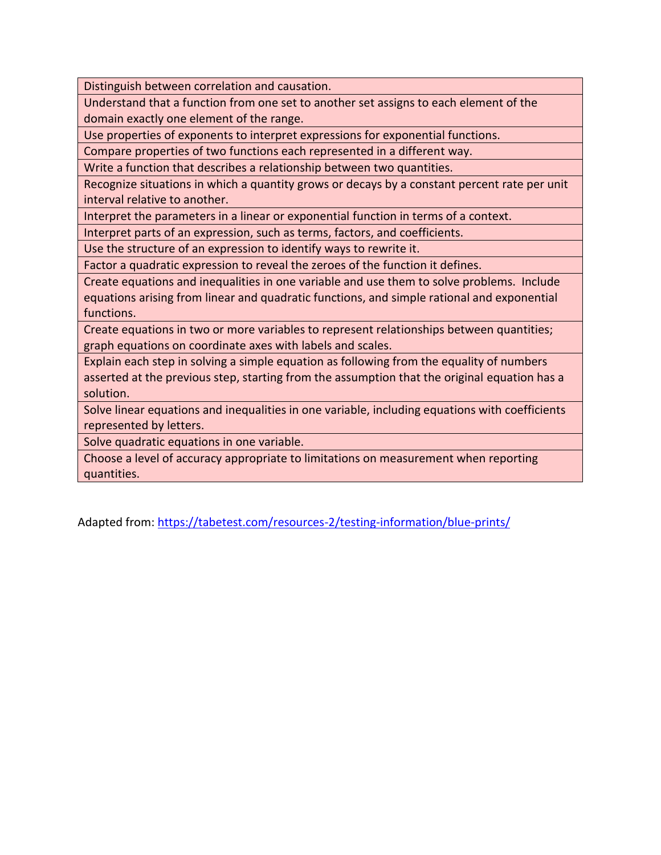Distinguish between correlation and causation.

Understand that a function from one set to another set assigns to each element of the domain exactly one element of the range.

Use properties of exponents to interpret expressions for exponential functions.

Compare properties of two functions each represented in a different way.

Write a function that describes a relationship between two quantities.

Recognize situations in which a quantity grows or decays by a constant percent rate per unit interval relative to another.

Interpret the parameters in a linear or exponential function in terms of a context.

Interpret parts of an expression, such as terms, factors, and coefficients.

Use the structure of an expression to identify ways to rewrite it.

Factor a quadratic expression to reveal the zeroes of the function it defines.

Create equations and inequalities in one variable and use them to solve problems. Include equations arising from linear and quadratic functions, and simple rational and exponential functions.

Create equations in two or more variables to represent relationships between quantities; graph equations on coordinate axes with labels and scales.

Explain each step in solving a simple equation as following from the equality of numbers asserted at the previous step, starting from the assumption that the original equation has a solution.

Solve linear equations and inequalities in one variable, including equations with coefficients represented by letters.

Solve quadratic equations in one variable.

Choose a level of accuracy appropriate to limitations on measurement when reporting quantities.

Adapted from:<https://tabetest.com/resources-2/testing-information/blue-prints/>